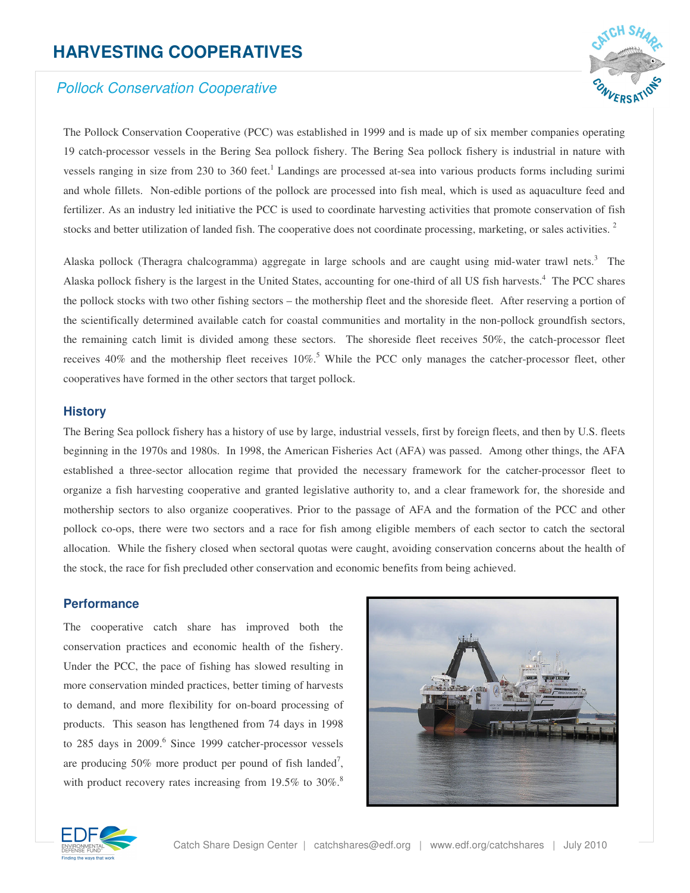# **HARVESTING COOPERATIVES**

# *Pollock Conservation Cooperative*



The Pollock Conservation Cooperative (PCC) was established in 1999 and is made up of six member companies operating 19 catch-processor vessels in the Bering Sea pollock fishery. The Bering Sea pollock fishery is industrial in nature with vessels ranging in size from 230 to 360 feet.<sup>1</sup> Landings are processed at-sea into various products forms including surimi and whole fillets. Non-edible portions of the pollock are processed into fish meal, which is used as aquaculture feed and fertilizer. As an industry led initiative the PCC is used to coordinate harvesting activities that promote conservation of fish stocks and better utilization of landed fish. The cooperative does not coordinate processing, marketing, or sales activities.<sup>2</sup>

Alaska pollock (Theragra chalcogramma) aggregate in large schools and are caught using mid-water trawl nets.<sup>3</sup> The Alaska pollock fishery is the largest in the United States, accounting for one-third of all US fish harvests. <sup>4</sup> The PCC shares the pollock stocks with two other fishing sectors – the mothership fleet and the shoreside fleet. After reserving a portion of the scientifically determined available catch for coastal communities and mortality in the non-pollock groundfish sectors, the remaining catch limit is divided among these sectors. The shoreside fleet receives 50%, the catch-processor fleet receives 40% and the mothership fleet receives 10%.<sup>5</sup> While the PCC only manages the catcher-processor fleet, other cooperatives have formed in the other sectors that target pollock.

## **History**

The Bering Sea pollock fishery has a history of use by large, industrial vessels, first by foreign fleets, and then by U.S. fleets beginning in the 1970s and 1980s. In 1998, the American Fisheries Act (AFA) was passed. Among other things, the AFA established a three-sector allocation regime that provided the necessary framework for the catcher-processor fleet to organize a fish harvesting cooperative and granted legislative authority to, and a clear framework for, the shoreside and mothership sectors to also organize cooperatives. Prior to the passage of AFA and the formation of the PCC and other pollock co-ops, there were two sectors and a race for fish among eligible members of each sector to catch the sectoral allocation. While the fishery closed when sectoral quotas were caught, avoiding conservation concerns about the health of the stock, the race for fish precluded other conservation and economic benefits from being achieved.

## **Performance**

The cooperative catch share has improved both the conservation practices and economic health of the fishery. Under the PCC, the pace of fishing has slowed resulting in more conservation minded practices, better timing of harvests to demand, and more flexibility for on-board processing of products. This season has lengthened from 74 days in 1998 to 285 days in 2009. 6 Since 1999 catcher-processor vessels are producing 50% more product per pound of fish landed<sup>7</sup>, with product recovery rates increasing from  $19.5\%$  to  $30\%$ .



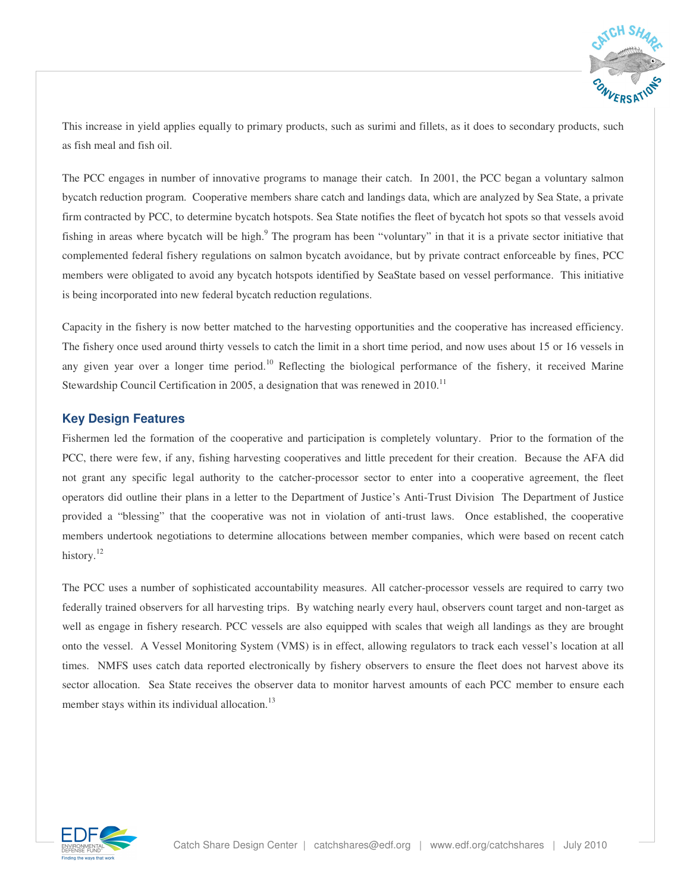

This increase in yield applies equally to primary products, such as surimi and fillets, as it does to secondary products, such as fish meal and fish oil.

The PCC engages in number of innovative programs to manage their catch. In 2001, the PCC began a voluntary salmon bycatch reduction program. Cooperative members share catch and landings data, which are analyzed by Sea State, a private firm contracted by PCC, to determine bycatch hotspots. Sea State notifies the fleet of bycatch hot spots so that vessels avoid fishing in areas where bycatch will be high.<sup>9</sup> The program has been "voluntary" in that it is a private sector initiative that complemented federal fishery regulations on salmon bycatch avoidance, but by private contract enforceable by fines, PCC members were obligated to avoid any bycatch hotspots identified by SeaState based on vessel performance. This initiative is being incorporated into new federal bycatch reduction regulations.

Capacity in the fishery is now better matched to the harvesting opportunities and the cooperative has increased efficiency. The fishery once used around thirty vessels to catch the limit in a short time period, and now uses about 15 or 16 vessels in any given year over a longer time period.<sup>10</sup> Reflecting the biological performance of the fishery, it received Marine Stewardship Council Certification in 2005, a designation that was renewed in 2010.<sup>11</sup>

## **Key Design Features**

Fishermen led the formation of the cooperative and participation is completely voluntary. Prior to the formation of the PCC, there were few, if any, fishing harvesting cooperatives and little precedent for their creation. Because the AFA did not grant any specific legal authority to the catcher-processor sector to enter into a cooperative agreement, the fleet operators did outline their plans in a letter to the Department of Justice's Anti-Trust Division The Department of Justice provided a "blessing" that the cooperative was not in violation of anti-trust laws. Once established, the cooperative members undertook negotiations to determine allocations between member companies, which were based on recent catch history.<sup>12</sup>

The PCC uses a number of sophisticated accountability measures. All catcher-processor vessels are required to carry two federally trained observers for all harvesting trips. By watching nearly every haul, observers count target and non-target as well as engage in fishery research. PCC vessels are also equipped with scales that weigh all landings as they are brought onto the vessel. A Vessel Monitoring System (VMS) is in effect, allowing regulators to track each vessel's location at all times. NMFS uses catch data reported electronically by fishery observers to ensure the fleet does not harvest above its sector allocation. Sea State receives the observer data to monitor harvest amounts of each PCC member to ensure each member stays within its individual allocation.<sup>13</sup>